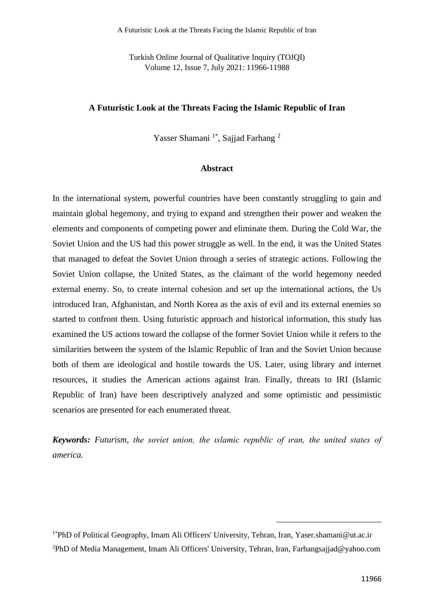Turkish Online Journal of Qualitative Inquiry (TOJQI) Volume 12, Issue 7, July 2021: 11966-11988

# **A Futuristic Look at the Threats Facing the Islamic Republic of Iran**

Yasser Shamani<sup>1\*</sup>, Sajjad Farhang<sup>2</sup>

# **Abstract**

In the international system, powerful countries have been constantly struggling to gain and maintain global hegemony, and trying to expand and strengthen their power and weaken the elements and components of competing power and eliminate them. During the Cold War, the Soviet Union and the US had this power struggle as well. In the end, it was the United States that managed to defeat the Soviet Union through a series of strategic actions. Following the Soviet Union collapse, the United States, as the claimant of the world hegemony needed external enemy. So, to create internal cohesion and set up the international actions, the Us introduced Iran, Afghanistan, and North Korea as the axis of evil and its external enemies so started to confront them. Using futuristic approach and historical information, this study has examined the US actions toward the collapse of the former Soviet Union while it refers to the similarities between the system of the Islamic Republic of Iran and the Soviet Union because both of them are ideological and hostile towards the US. Later, using library and internet resources, it studies the American actions against Iran. Finally, threats to IRI (Islamic Republic of Iran) have been descriptively analyzed and some optimistic and pessimistic scenarios are presented for each enumerated threat.

*Keywords: Futurism, the soviet union, the ıslamic republic of ıran, the united states of america.*

<sup>1\*</sup>PhD of Political Geography, Imam Ali Officers' University, Tehran, Iran, Yaser.shamani@ut.ac.ir 2PhD of Media Management, Imam Ali Officers' University, Tehran, Iran, [Farhangsajjad@yahoo.com](mailto:Farhangsajjad@yahoo.com)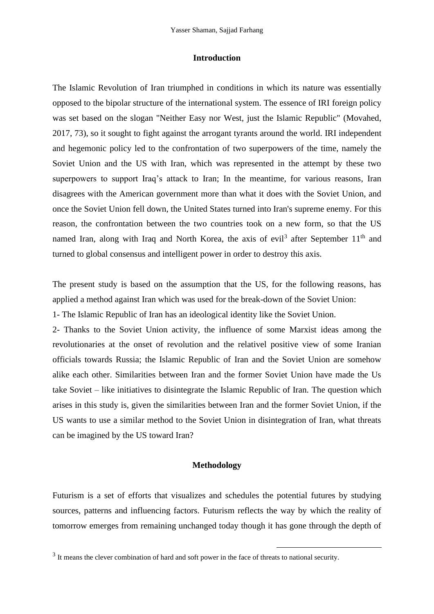#### **Introduction**

The Islamic Revolution of Iran triumphed in conditions in which its nature was essentially opposed to the bipolar structure of the international system. The essence of IRI foreign policy was set based on the slogan "Neither Easy nor West, just the Islamic Republic" (Movahed, 2017, 73), so it sought to fight against the arrogant tyrants around the world. IRI independent and hegemonic policy led to the confrontation of two superpowers of the time, namely the Soviet Union and the US with Iran, which was represented in the attempt by these two superpowers to support Iraq's attack to Iran; In the meantime, for various reasons, Iran disagrees with the American government more than what it does with the Soviet Union, and once the Soviet Union fell down, the United States turned into Iran's supreme enemy. For this reason, the confrontation between the two countries took on a new form, so that the US named Iran, along with Iraq and North Korea, the axis of evil<sup>3</sup> after September  $11<sup>th</sup>$  and turned to global consensus and intelligent power in order to destroy this axis.

The present study is based on the assumption that the US, for the following reasons, has applied a method against Iran which was used for the break-down of the Soviet Union:

1- The Islamic Republic of Iran has an ideological identity like the Soviet Union.

2- Thanks to the Soviet Union activity, the influence of some Marxist ideas among the revolutionaries at the onset of revolution and the relativel positive view of some Iranian officials towards Russia; the Islamic Republic of Iran and the Soviet Union are somehow alike each other. Similarities between Iran and the former Soviet Union have made the Us take Soviet – like initiatives to disintegrate the Islamic Republic of Iran. The question which arises in this study is, given the similarities between Iran and the former Soviet Union, if the US wants to use a similar method to the Soviet Union in disintegration of Iran, what threats can be imagined by the US toward Iran?

### **Methodology**

Futurism is a set of efforts that visualizes and schedules the potential futures by studying sources, patterns and influencing factors. Futurism reflects the way by which the reality of tomorrow emerges from remaining unchanged today though it has gone through the depth of

<sup>&</sup>lt;sup>3</sup> It means the clever combination of hard and soft power in the face of threats to national security.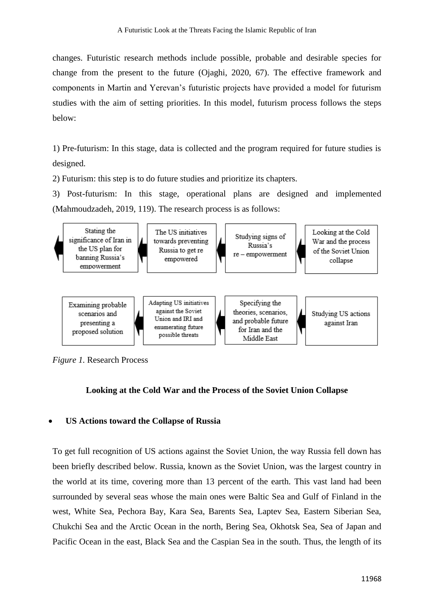changes. Futuristic research methods include possible, probable and desirable species for change from the present to the future (Ojaghi, 2020, 67). The effective framework and components in Martin and Yerevan's futuristic projects have provided a model for futurism studies with the aim of setting priorities. In this model, futurism process follows the steps below:

1) Pre-futurism: In this stage, data is collected and the program required for future studies is designed.

2) Futurism: this step is to do future studies and prioritize its chapters.

3) Post-futurism: In this stage, operational plans are designed and implemented (Mahmoudzadeh, 2019, 119). The research process is as follows:



*Figure 1.* Research Process

# **Looking at the Cold War and the Process of the Soviet Union Collapse**

### • **US Actions toward the Collapse of Russia**

To get full recognition of US actions against the Soviet Union, the way Russia fell down has been briefly described below. Russia, known as the Soviet Union, was the largest country in the world at its time, covering more than 13 percent of the earth. This vast land had been surrounded by several seas whose the main ones were Baltic Sea and Gulf of Finland in the west, White Sea, Pechora Bay, Kara Sea, Barents Sea, Laptev Sea, Eastern Siberian Sea, Chukchi Sea and the Arctic Ocean in the north, Bering Sea, Okhotsk Sea, Sea of Japan and Pacific Ocean in the east, Black Sea and the Caspian Sea in the south. Thus, the length of its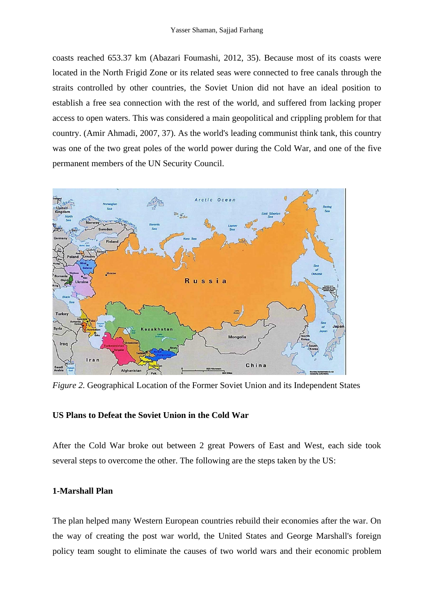coasts reached 653.37 km (Abazari Foumashi, 2012, 35). Because most of its coasts were located in the North Frigid Zone or its related seas were connected to free canals through the straits controlled by other countries, the Soviet Union did not have an ideal position to establish a free sea connection with the rest of the world, and suffered from lacking proper access to open waters. This was considered a main geopolitical and crippling problem for that country. (Amir Ahmadi, 2007, 37). As the world's leading communist think tank, this country was one of the two great poles of the world power during the Cold War, and one of the five permanent members of the UN Security Council.



*Figure 2.* Geographical Location of the Former Soviet Union and its Independent States

### **US Plans to Defeat the Soviet Union in the Cold War**

After the Cold War broke out between 2 great Powers of East and West, each side took several steps to overcome the other. The following are the steps taken by the US:

# **1-Marshall Plan**

The plan helped many Western European countries rebuild their economies after the war. On the way of creating the post war world, the United States and George Marshall's foreign policy team sought to eliminate the causes of two world wars and their economic problem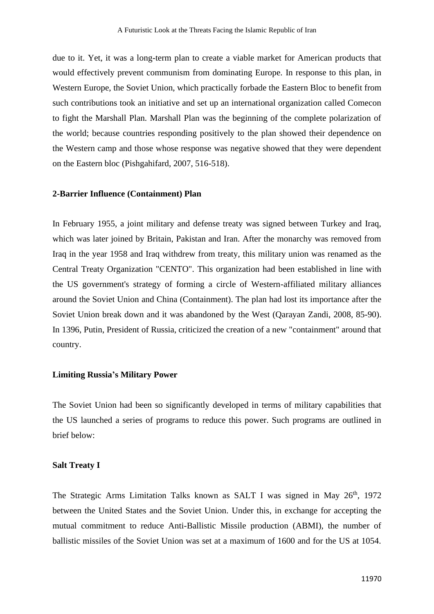due to it. Yet, it was a long-term plan to create a viable market for American products that would effectively prevent communism from dominating Europe. In response to this plan, in Western Europe, the Soviet Union, which practically forbade the Eastern Bloc to benefit from such contributions took an initiative and set up an international organization called Comecon to fight the Marshall Plan. Marshall Plan was the beginning of the complete polarization of the world; because countries responding positively to the plan showed their dependence on the Western camp and those whose response was negative showed that they were dependent on the Eastern bloc (Pishgahifard, 2007, 516-518).

### **2-Barrier Influence (Containment) Plan**

In February 1955, a joint military and defense treaty was signed between Turkey and Iraq, which was later joined by Britain, Pakistan and Iran. After the monarchy was removed from Iraq in the year 1958 and Iraq withdrew from treaty, this military union was renamed as the Central Treaty Organization "CENTO". This organization had been established in line with the US government's strategy of forming a circle of Western-affiliated military alliances around the Soviet Union and China (Containment). The plan had lost its importance after the Soviet Union break down and it was abandoned by the West (Qarayan Zandi, 2008, 85-90). In 1396, Putin, President of Russia, criticized the creation of a new "containment" around that country.

#### **Limiting Russia's Military Power**

The Soviet Union had been so significantly developed in terms of military capabilities that the US launched a series of programs to reduce this power. Such programs are outlined in brief below:

#### **Salt Treaty I**

The Strategic Arms Limitation Talks known as SALT I was signed in May 26<sup>th</sup>, 1972 between the United States and the Soviet Union. Under this, in exchange for accepting the mutual commitment to reduce Anti-Ballistic Missile production (ABMI), the number of ballistic missiles of the Soviet Union was set at a maximum of 1600 and for the US at 1054.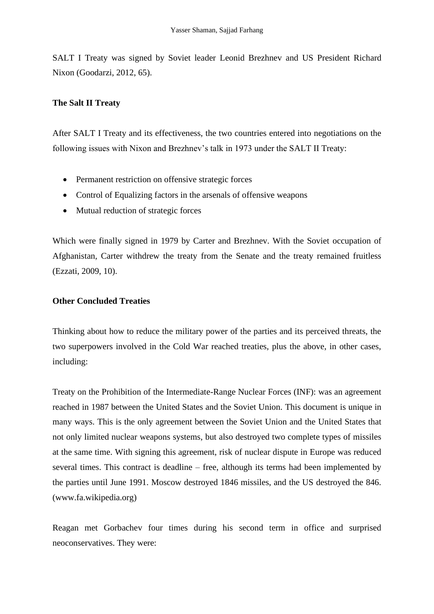SALT I Treaty was signed by Soviet leader Leonid Brezhnev and US President Richard Nixon (Goodarzi, 2012, 65).

# **The Salt II Treaty**

After SALT I Treaty and its effectiveness, the two countries entered into negotiations on the following issues with Nixon and Brezhnev's talk in 1973 under the SALT II Treaty:

- Permanent restriction on offensive strategic forces
- Control of Equalizing factors in the arsenals of offensive weapons
- Mutual reduction of strategic forces

Which were finally signed in 1979 by Carter and Brezhnev. With the Soviet occupation of Afghanistan, Carter withdrew the treaty from the Senate and the treaty remained fruitless (Ezzati, 2009, 10).

# **Other Concluded Treaties**

Thinking about how to reduce the military power of the parties and its perceived threats, the two superpowers involved in the Cold War reached treaties, plus the above, in other cases, including:

Treaty on the Prohibition of the Intermediate-Range Nuclear Forces (INF): was an agreement reached in 1987 between the United States and the Soviet Union. This document is unique in many ways. This is the only agreement between the Soviet Union and the United States that not only limited nuclear weapons systems, but also destroyed two complete types of missiles at the same time. With signing this agreement, risk of nuclear dispute in Europe was reduced several times. This contract is deadline – free, although its terms had been implemented by the parties until June 1991. Moscow destroyed 1846 missiles, and the US destroyed the 846. (www.fa.wikipedia.org)

Reagan met Gorbachev four times during his second term in office and surprised neoconservatives. They were: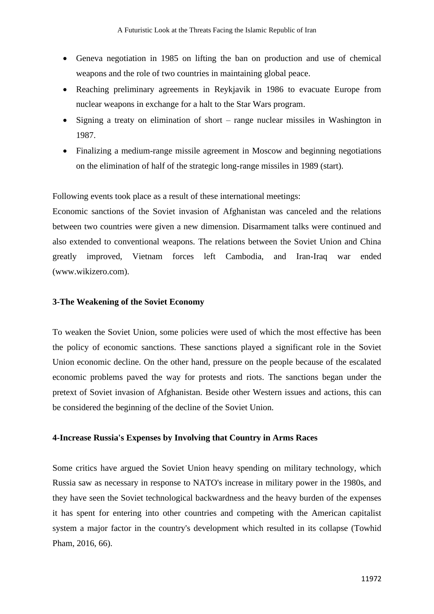- Geneva negotiation in 1985 on lifting the ban on production and use of chemical weapons and the role of two countries in maintaining global peace.
- Reaching preliminary agreements in Reykjavik in 1986 to evacuate Europe from nuclear weapons in exchange for a halt to the Star Wars program.
- Signing a treaty on elimination of short range nuclear missiles in Washington in 1987.
- Finalizing a medium-range missile agreement in Moscow and beginning negotiations on the elimination of half of the strategic long-range missiles in 1989 (start).

Following events took place as a result of these international meetings:

Economic sanctions of the Soviet invasion of Afghanistan was canceled and the relations between two countries were given a new dimension. Disarmament talks were continued and also extended to conventional weapons. The relations between the Soviet Union and China greatly improved, Vietnam forces left Cambodia, and Iran-Iraq war ended [\(www.wikizero.com\)](http://www.wikizero.com/).

### **3-The Weakening of the Soviet Economy**

To weaken the Soviet Union, some policies were used of which the most effective has been the policy of economic sanctions. These sanctions played a significant role in the Soviet Union economic decline. On the other hand, pressure on the people because of the escalated economic problems paved the way for protests and riots. The sanctions began under the pretext of Soviet invasion of Afghanistan. Beside other Western issues and actions, this can be considered the beginning of the decline of the Soviet Union.

#### **4-Increase Russia's Expenses by Involving that Country in Arms Races**

Some critics have argued the Soviet Union heavy spending on military technology, which Russia saw as necessary in response to NATO's increase in military power in the 1980s, and they have seen the Soviet technological backwardness and the heavy burden of the expenses it has spent for entering into other countries and competing with the American capitalist system a major factor in the country's development which resulted in its collapse (Towhid Pham, 2016, 66).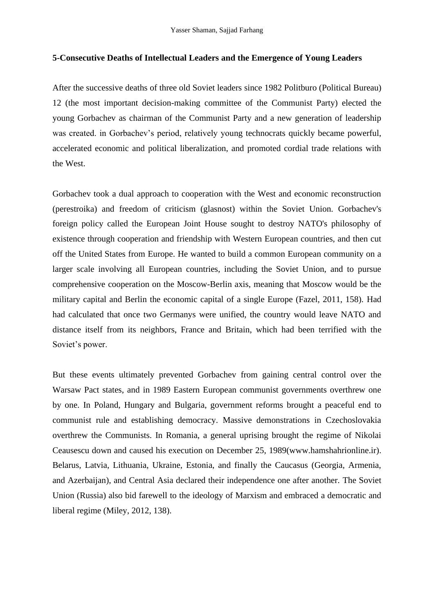### **5-Consecutive Deaths of Intellectual Leaders and the Emergence of Young Leaders**

After the successive deaths of three old Soviet leaders since 1982 Politburo (Political Bureau) 12 (the most important decision-making committee of the Communist Party) elected the young Gorbachev as chairman of the Communist Party and a new generation of leadership was created. in Gorbachev's period, relatively young technocrats quickly became powerful, accelerated economic and political liberalization, and promoted cordial trade relations with the West.

Gorbachev took a dual approach to cooperation with the West and economic reconstruction (perestroika) and freedom of criticism (glasnost) within the Soviet Union. Gorbachev's foreign policy called the European Joint House sought to destroy NATO's philosophy of existence through cooperation and friendship with Western European countries, and then cut off the United States from Europe. He wanted to build a common European community on a larger scale involving all European countries, including the Soviet Union, and to pursue comprehensive cooperation on the Moscow-Berlin axis, meaning that Moscow would be the military capital and Berlin the economic capital of a single Europe (Fazel, 2011, 158). Had had calculated that once two Germanys were unified, the country would leave NATO and distance itself from its neighbors, France and Britain, which had been terrified with the Soviet's power.

But these events ultimately prevented Gorbachev from gaining central control over the Warsaw Pact states, and in 1989 Eastern European communist governments overthrew one by one. In Poland, Hungary and Bulgaria, government reforms brought a peaceful end to communist rule and establishing democracy. Massive demonstrations in Czechoslovakia overthrew the Communists. In Romania, a general uprising brought the regime of Nikolai Ceausescu down and caused his execution on December 25, 1989(www.hamshahrionline.ir). Belarus, Latvia, Lithuania, Ukraine, Estonia, and finally the Caucasus (Georgia, Armenia, and Azerbaijan), and Central Asia declared their independence one after another. The Soviet Union (Russia) also bid farewell to the ideology of Marxism and embraced a democratic and liberal regime (Miley, 2012, 138).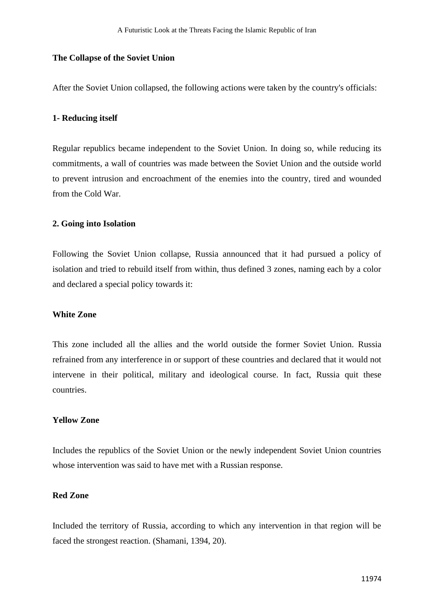#### **The Collapse of the Soviet Union**

After the Soviet Union collapsed, the following actions were taken by the country's officials:

#### **1- Reducing itself**

Regular republics became independent to the Soviet Union. In doing so, while reducing its commitments, a wall of countries was made between the Soviet Union and the outside world to prevent intrusion and encroachment of the enemies into the country, tired and wounded from the Cold War.

### **2. Going into Isolation**

Following the Soviet Union collapse, Russia announced that it had pursued a policy of isolation and tried to rebuild itself from within, thus defined 3 zones, naming each by a color and declared a special policy towards it:

### **White Zone**

This zone included all the allies and the world outside the former Soviet Union. Russia refrained from any interference in or support of these countries and declared that it would not intervene in their political, military and ideological course. In fact, Russia quit these countries.

# **Yellow Zone**

Includes the republics of the Soviet Union or the newly independent Soviet Union countries whose intervention was said to have met with a Russian response.

# **Red Zone**

Included the territory of Russia, according to which any intervention in that region will be faced the strongest reaction. (Shamani, 1394, 20).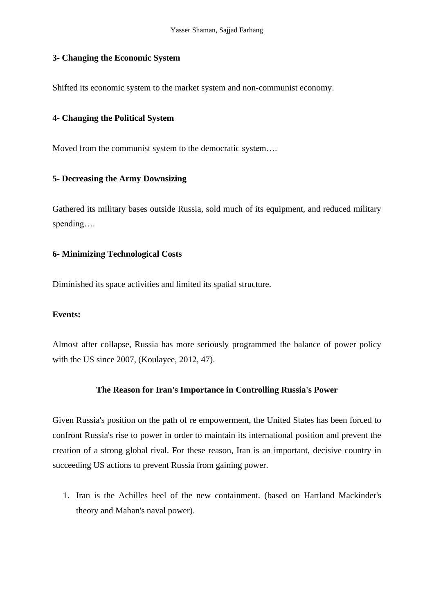### **3- Changing the Economic System**

Shifted its economic system to the market system and non-communist economy.

### **4- Changing the Political System**

Moved from the communist system to the democratic system….

### **5- Decreasing the Army Downsizing**

Gathered its military bases outside Russia, sold much of its equipment, and reduced military spending….

# **6- Minimizing Technological Costs**

Diminished its space activities and limited its spatial structure.

#### **Events:**

Almost after collapse, Russia has more seriously programmed the balance of power policy with the US since 2007, (Koulayee, 2012, 47).

# **The Reason for Iran's Importance in Controlling Russia's Power**

Given Russia's position on the path of re empowerment, the United States has been forced to confront Russia's rise to power in order to maintain its international position and prevent the creation of a strong global rival. For these reason, Iran is an important, decisive country in succeeding US actions to prevent Russia from gaining power.

1. Iran is the Achilles heel of the new containment. (based on Hartland Mackinder's theory and Mahan's naval power).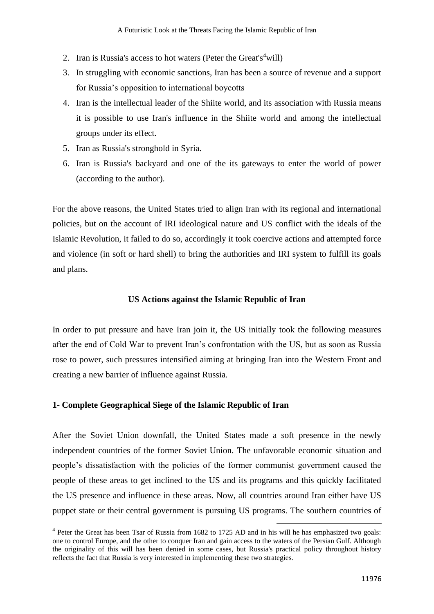- 2. Iran is Russia's access to hot waters (Peter the Great's  $4$ will)
- 3. In struggling with economic sanctions, Iran has been a source of revenue and a support for Russia's opposition to international boycotts
- 4. Iran is the intellectual leader of the Shiite world, and its association with Russia means it is possible to use Iran's influence in the Shiite world and among the intellectual groups under its effect.
- 5. Iran as Russia's stronghold in Syria.
- 6. Iran is Russia's backyard and one of the its gateways to enter the world of power (according to the author).

For the above reasons, the United States tried to align Iran with its regional and international policies, but on the account of IRI ideological nature and US conflict with the ideals of the Islamic Revolution, it failed to do so, accordingly it took coercive actions and attempted force and violence (in soft or hard shell) to bring the authorities and IRI system to fulfill its goals and plans.

# **US Actions against the Islamic Republic of Iran**

In order to put pressure and have Iran join it, the US initially took the following measures after the end of Cold War to prevent Iran's confrontation with the US, but as soon as Russia rose to power, such pressures intensified aiming at bringing Iran into the Western Front and creating a new barrier of influence against Russia.

### **1- Complete Geographical Siege of the Islamic Republic of Iran**

After the Soviet Union downfall, the United States made a soft presence in the newly independent countries of the former Soviet Union. The unfavorable economic situation and people's dissatisfaction with the policies of the former communist government caused the people of these areas to get inclined to the US and its programs and this quickly facilitated the US presence and influence in these areas. Now, all countries around Iran either have US puppet state or their central government is pursuing US programs. The southern countries of

<sup>&</sup>lt;sup>4</sup> Peter the Great has been Tsar of Russia from 1682 to 1725 AD and in his will he has emphasized two goals: one to control Europe, and the other to conquer Iran and gain access to the waters of the Persian Gulf. Although the originality of this will has been denied in some cases, but Russia's practical policy throughout history reflects the fact that Russia is very interested in implementing these two strategies.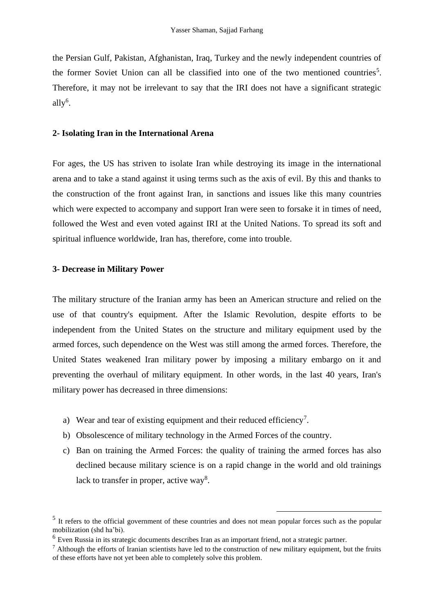the Persian Gulf, Pakistan, Afghanistan, Iraq, Turkey and the newly independent countries of the former Soviet Union can all be classified into one of the two mentioned countries<sup>5</sup>. Therefore, it may not be irrelevant to say that the IRI does not have a significant strategic ally<sup>6</sup>.

#### **2- Isolating Iran in the International Arena**

For ages, the US has striven to isolate Iran while destroying its image in the international arena and to take a stand against it using terms such as the axis of evil. By this and thanks to the construction of the front against Iran, in sanctions and issues like this many countries which were expected to accompany and support Iran were seen to forsake it in times of need, followed the West and even voted against IRI at the United Nations. To spread its soft and spiritual influence worldwide, Iran has, therefore, come into trouble.

# **3- Decrease in Military Power**

The military structure of the Iranian army has been an American structure and relied on the use of that country's equipment. After the Islamic Revolution, despite efforts to be independent from the United States on the structure and military equipment used by the armed forces, such dependence on the West was still among the armed forces. Therefore, the United States weakened Iran military power by imposing a military embargo on it and preventing the overhaul of military equipment. In other words, in the last 40 years, Iran's military power has decreased in three dimensions:

- a) Wear and tear of existing equipment and their reduced efficiency<sup>7</sup>.
- b) Obsolescence of military technology in the Armed Forces of the country.
- c) Ban on training the Armed Forces: the quality of training the armed forces has also declined because military science is on a rapid change in the world and old trainings lack to transfer in proper, active way<sup>8</sup>.

<sup>&</sup>lt;sup>5</sup> It refers to the official government of these countries and does not mean popular forces such as the popular mobilization (shd ha'bi).

<sup>6</sup> Even Russia in its strategic documents describes Iran as an important friend, not a strategic partner.

 $<sup>7</sup>$  Although the efforts of Iranian scientists have led to the construction of new military equipment, but the fruits</sup> of these efforts have not yet been able to completely solve this problem.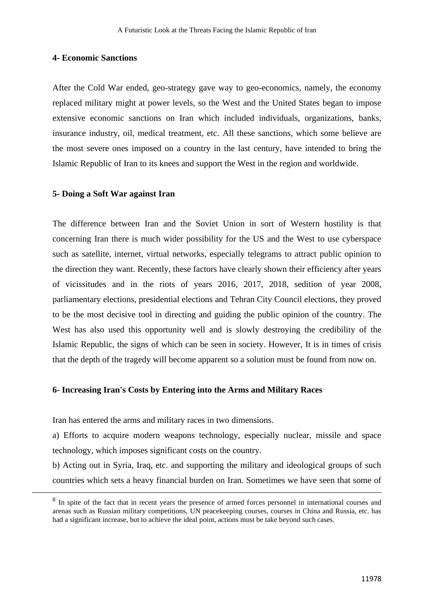#### **4- Economic Sanctions**

After the Cold War ended, geo-strategy gave way to geo-economics, namely, the economy replaced military might at power levels, so the West and the United States began to impose extensive economic sanctions on Iran which included individuals, organizations, banks, insurance industry, oil, medical treatment, etc. All these sanctions, which some believe are the most severe ones imposed on a country in the last century, have intended to bring the Islamic Republic of Iran to its knees and support the West in the region and worldwide.

### **5- Doing a Soft War against Iran**

The difference between Iran and the Soviet Union in sort of Western hostility is that concerning Iran there is much wider possibility for the US and the West to use cyberspace such as satellite, internet, virtual networks, especially telegrams to attract public opinion to the direction they want. Recently, these factors have clearly shown their efficiency after years of vicissitudes and in the riots of years 2016, 2017, 2018, sedition of year 2008, parliamentary elections, presidential elections and Tehran City Council elections, they proved to be the most decisive tool in directing and guiding the public opinion of the country. The West has also used this opportunity well and is slowly destroying the credibility of the Islamic Republic, the signs of which can be seen in society. However, It is in times of crisis that the depth of the tragedy will become apparent so a solution must be found from now on.

# **6- Increasing Iran's Costs by Entering into the Arms and Military Races**

Iran has entered the arms and military races in two dimensions.

a) Efforts to acquire modern weapons technology, especially nuclear, missile and space technology, which imposes significant costs on the country.

b) Acting out in Syria, Iraq, etc. and supporting the military and ideological groups of such countries which sets a heavy financial burden on Iran. Sometimes we have seen that some of

<sup>&</sup>lt;sup>8</sup> In spite of the fact that in recent years the presence of armed forces personnel in international courses and arenas such as Russian military competitions, UN peacekeeping courses, courses in China and Russia, etc. has had a significant increase, but to achieve the ideal point, actions must be take beyond such cases.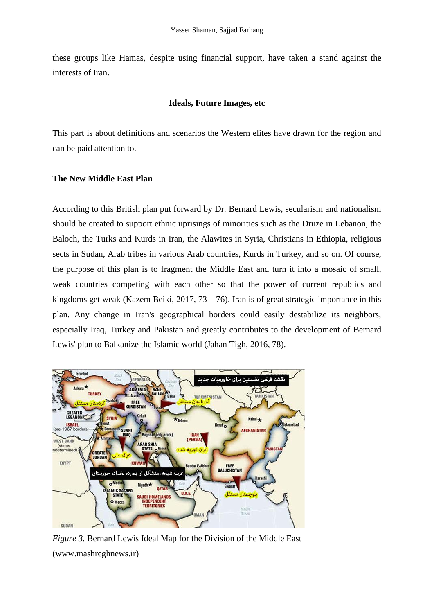these groups like Hamas, despite using financial support, have taken a stand against the interests of Iran.

# **Ideals, Future Images, etc**

This part is about definitions and scenarios the Western elites have drawn for the region and can be paid attention to.

# **The New Middle East Plan**

According to this British plan put forward by Dr. Bernard Lewis, secularism and nationalism should be created to support ethnic uprisings of minorities such as the Druze in Lebanon, the Baloch, the Turks and Kurds in Iran, the Alawites in Syria, Christians in Ethiopia, religious sects in Sudan, Arab tribes in various Arab countries, Kurds in Turkey, and so on. Of course, the purpose of this plan is to fragment the Middle East and turn it into a mosaic of small, weak countries competing with each other so that the power of current republics and kingdoms get weak (Kazem Beiki, 2017,  $73 - 76$ ). Iran is of great strategic importance in this plan. Any change in Iran's geographical borders could easily destabilize its neighbors, especially Iraq, Turkey and Pakistan and greatly contributes to the development of Bernard Lewis' plan to Balkanize the Islamic world (Jahan Tigh, 2016, 78).



*Figure 3.* Bernard Lewis Ideal Map for the Division of the Middle East (www.mashreghnews.ir)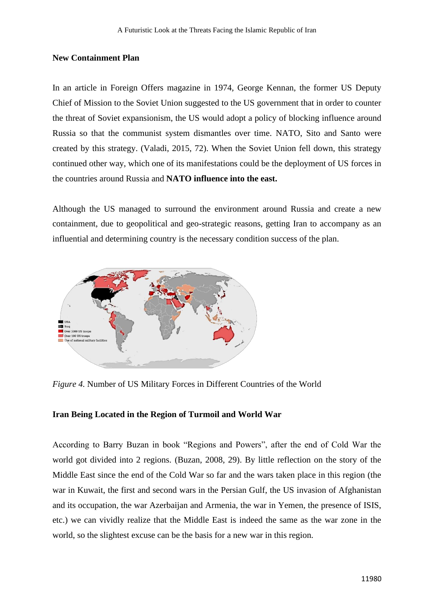#### **New Containment Plan**

In an article in Foreign Offers magazine in 1974, George Kennan, the former US Deputy Chief of Mission to the Soviet Union suggested to the US government that in order to counter the threat of Soviet expansionism, the US would adopt a policy of blocking influence around Russia so that the communist system dismantles over time. NATO, Sito and Santo were created by this strategy. (Valadi, 2015, 72). When the Soviet Union fell down, this strategy continued other way, which one of its manifestations could be the deployment of US forces in the countries around Russia and **NATO influence into the east.**

Although the US managed to surround the environment around Russia and create a new containment, due to geopolitical and geo-strategic reasons, getting Iran to accompany as an influential and determining country is the necessary condition success of the plan.



*Figure 4.* Number of US Military Forces in Different Countries of the World

### **Iran Being Located in the Region of Turmoil and World War**

According to Barry Buzan in book "Regions and Powers", after the end of Cold War the world got divided into 2 regions. (Buzan, 2008, 29). By little reflection on the story of the Middle East since the end of the Cold War so far and the wars taken place in this region (the war in Kuwait, the first and second wars in the Persian Gulf, the US invasion of Afghanistan and its occupation, the war Azerbaijan and Armenia, the war in Yemen, the presence of ISIS, etc.) we can vividly realize that the Middle East is indeed the same as the war zone in the world, so the slightest excuse can be the basis for a new war in this region.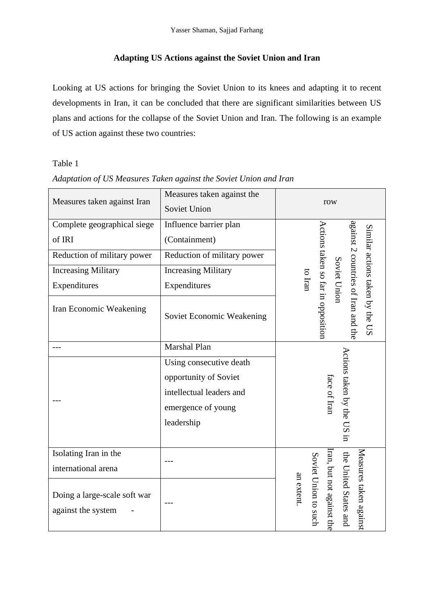# **Adapting US Actions against the Soviet Union and Iran**

Looking at US actions for bringing the Soviet Union to its knees and adapting it to recent developments in Iran, it can be concluded that there are significant similarities between US plans and actions for the collapse of the Soviet Union and Iran. The following is an example of US action against these two countries:

# Table 1

| Measures taken against Iran                        | Measures taken against the<br>Soviet Union | row                                                                                                                                         |
|----------------------------------------------------|--------------------------------------------|---------------------------------------------------------------------------------------------------------------------------------------------|
|                                                    |                                            |                                                                                                                                             |
| Complete geographical siege                        | Influence barrier plan                     |                                                                                                                                             |
| of IRI                                             | (Containment)                              |                                                                                                                                             |
| Reduction of military power                        | Reduction of military power                |                                                                                                                                             |
| <b>Increasing Military</b>                         | <b>Increasing Military</b>                 |                                                                                                                                             |
| Expenditures                                       | Expenditures                               | against 2 countries of Iran and the<br>Actions taken so far in opposition<br>Similar actions taken by the US<br>Soviet Union<br>$\log$ Iran |
| Iran Economic Weakening                            | Soviet Economic Weakening                  |                                                                                                                                             |
|                                                    | Marshal Plan                               |                                                                                                                                             |
|                                                    | Using consecutive death                    |                                                                                                                                             |
|                                                    | opportunity of Soviet                      | Actions taken by the US in<br>face of Iran                                                                                                  |
|                                                    | intellectual leaders and                   |                                                                                                                                             |
|                                                    | emergence of young                         |                                                                                                                                             |
|                                                    | leadership                                 |                                                                                                                                             |
|                                                    |                                            |                                                                                                                                             |
| Isolating Iran in the                              |                                            |                                                                                                                                             |
| international arena                                |                                            |                                                                                                                                             |
| Doing a large-scale soft war<br>against the system |                                            | Measures taken against<br>ran, but not against the<br>Soviet Union to such<br>the United States and<br>an extent                            |

# *Adaptation of US Measures Taken against the Soviet Union and Iran*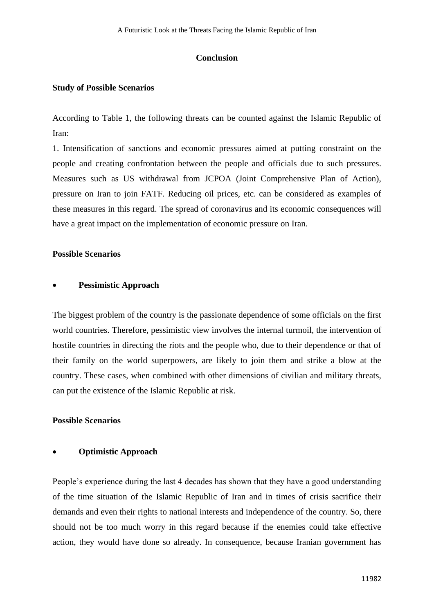### **Conclusion**

### **Study of Possible Scenarios**

According to Table 1, the following threats can be counted against the Islamic Republic of Iran:

1. Intensification of sanctions and economic pressures aimed at putting constraint on the people and creating confrontation between the people and officials due to such pressures. Measures such as US withdrawal from JCPOA (Joint Comprehensive Plan of Action), pressure on Iran to join FATF. Reducing oil prices, etc. can be considered as examples of these measures in this regard. The spread of coronavirus and its economic consequences will have a great impact on the implementation of economic pressure on Iran.

### **Possible Scenarios**

### • **Pessimistic Approach**

The biggest problem of the country is the passionate dependence of some officials on the first world countries. Therefore, pessimistic view involves the internal turmoil, the intervention of hostile countries in directing the riots and the people who, due to their dependence or that of their family on the world superpowers, are likely to join them and strike a blow at the country. These cases, when combined with other dimensions of civilian and military threats, can put the existence of the Islamic Republic at risk.

# **Possible Scenarios**

# • **Optimistic Approach**

People's experience during the last 4 decades has shown that they have a good understanding of the time situation of the Islamic Republic of Iran and in times of crisis sacrifice their demands and even their rights to national interests and independence of the country. So, there should not be too much worry in this regard because if the enemies could take effective action, they would have done so already. In consequence, because Iranian government has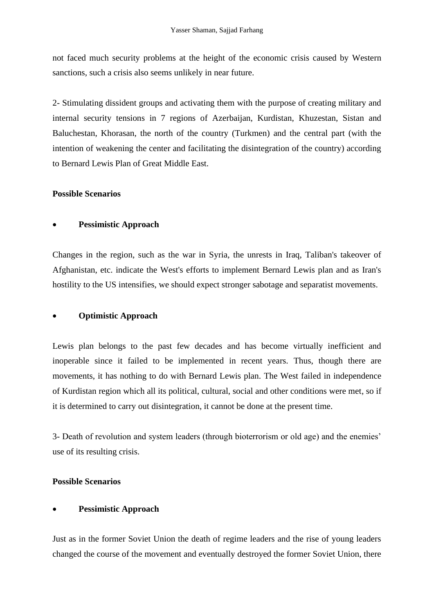not faced much security problems at the height of the economic crisis caused by Western sanctions, such a crisis also seems unlikely in near future.

2- Stimulating dissident groups and activating them with the purpose of creating military and internal security tensions in 7 regions of Azerbaijan, Kurdistan, Khuzestan, Sistan and Baluchestan, Khorasan, the north of the country (Turkmen) and the central part (with the intention of weakening the center and facilitating the disintegration of the country) according to Bernard Lewis Plan of Great Middle East.

# **Possible Scenarios**

# • **Pessimistic Approach**

Changes in the region, such as the war in Syria, the unrests in Iraq, Taliban's takeover of Afghanistan, etc. indicate the West's efforts to implement Bernard Lewis plan and as Iran's hostility to the US intensifies, we should expect stronger sabotage and separatist movements.

# • **Optimistic Approach**

Lewis plan belongs to the past few decades and has become virtually inefficient and inoperable since it failed to be implemented in recent years. Thus, though there are movements, it has nothing to do with Bernard Lewis plan. The West failed in independence of Kurdistan region which all its political, cultural, social and other conditions were met, so if it is determined to carry out disintegration, it cannot be done at the present time.

3- Death of revolution and system leaders (through bioterrorism or old age) and the enemies' use of its resulting crisis.

# **Possible Scenarios**

# • **Pessimistic Approach**

Just as in the former Soviet Union the death of regime leaders and the rise of young leaders changed the course of the movement and eventually destroyed the former Soviet Union, there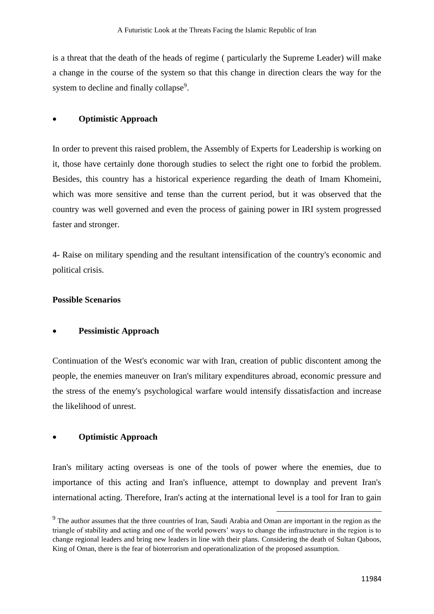is a threat that the death of the heads of regime ( particularly the Supreme Leader) will make a change in the course of the system so that this change in direction clears the way for the system to decline and finally collapse<sup>9</sup>.

# • **Optimistic Approach**

In order to prevent this raised problem, the Assembly of Experts for Leadership is working on it, those have certainly done thorough studies to select the right one to forbid the problem. Besides, this country has a historical experience regarding the death of Imam Khomeini, which was more sensitive and tense than the current period, but it was observed that the country was well governed and even the process of gaining power in IRI system progressed faster and stronger.

4- Raise on military spending and the resultant intensification of the country's economic and political crisis.

# **Possible Scenarios**

# • **Pessimistic Approach**

Continuation of the West's economic war with Iran, creation of public discontent among the people, the enemies maneuver on Iran's military expenditures abroad, economic pressure and the stress of the enemy's psychological warfare would intensify dissatisfaction and increase the likelihood of unrest.

# • **Optimistic Approach**

Iran's military acting overseas is one of the tools of power where the enemies, due to importance of this acting and Iran's influence, attempt to downplay and prevent Iran's international acting. Therefore, Iran's acting at the international level is a tool for Iran to gain

<sup>&</sup>lt;sup>9</sup> The author assumes that the three countries of Iran, Saudi Arabia and Oman are important in the region as the triangle of stability and acting and one of the world powers' ways to change the infrastructure in the region is to change regional leaders and bring new leaders in line with their plans. Considering the death of Sultan Qaboos, King of Oman, there is the fear of bioterrorism and operationalization of the proposed assumption.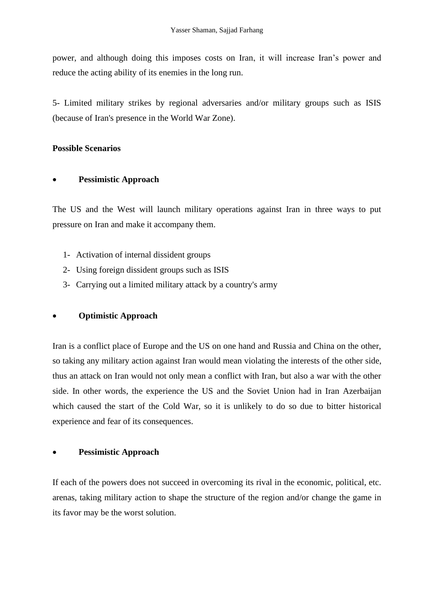power, and although doing this imposes costs on Iran, it will increase Iran's power and reduce the acting ability of its enemies in the long run.

5- Limited military strikes by regional adversaries and/or military groups such as ISIS (because of Iran's presence in the World War Zone).

# **Possible Scenarios**

# • **Pessimistic Approach**

The US and the West will launch military operations against Iran in three ways to put pressure on Iran and make it accompany them.

- 1- Activation of internal dissident groups
- 2- Using foreign dissident groups such as ISIS
- 3- Carrying out a limited military attack by a country's army

# • **Optimistic Approach**

Iran is a conflict place of Europe and the US on one hand and Russia and China on the other, so taking any military action against Iran would mean violating the interests of the other side, thus an attack on Iran would not only mean a conflict with Iran, but also a war with the other side. In other words, the experience the US and the Soviet Union had in Iran Azerbaijan which caused the start of the Cold War, so it is unlikely to do so due to bitter historical experience and fear of its consequences.

# • **Pessimistic Approach**

If each of the powers does not succeed in overcoming its rival in the economic, political, etc. arenas, taking military action to shape the structure of the region and/or change the game in its favor may be the worst solution.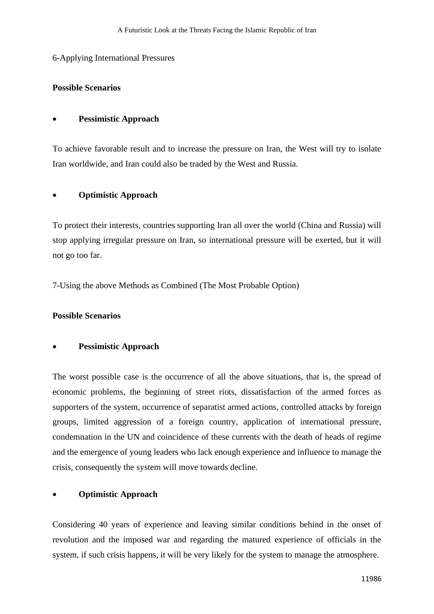### 6-Applying International Pressures

### **Possible Scenarios**

### • **Pessimistic Approach**

To achieve favorable result and to increase the pressure on Iran, the West will try to isolate Iran worldwide, and Iran could also be traded by the West and Russia.

### • **Optimistic Approach**

To protect their interests, countries supporting Iran all over the world (China and Russia) will stop applying irregular pressure on Iran, so international pressure will be exerted, but it will not go too far.

7-Using the above Methods as Combined (The Most Probable Option)

# **Possible Scenarios**

### • **Pessimistic Approach**

The worst possible case is the occurrence of all the above situations, that is, the spread of economic problems, the beginning of street riots, dissatisfaction of the armed forces as supporters of the system, occurrence of separatist armed actions, controlled attacks by foreign groups, limited aggression of a foreign country, application of international pressure, condemnation in the UN and coincidence of these currents with the death of heads of regime and the emergence of young leaders who lack enough experience and influence to manage the crisis, consequently the system will move towards decline.

# • **Optimistic Approach**

Considering 40 years of experience and leaving similar conditions behind in the onset of revolution and the imposed war and regarding the matured experience of officials in the system, if such crisis happens, it will be very likely for the system to manage the atmosphere.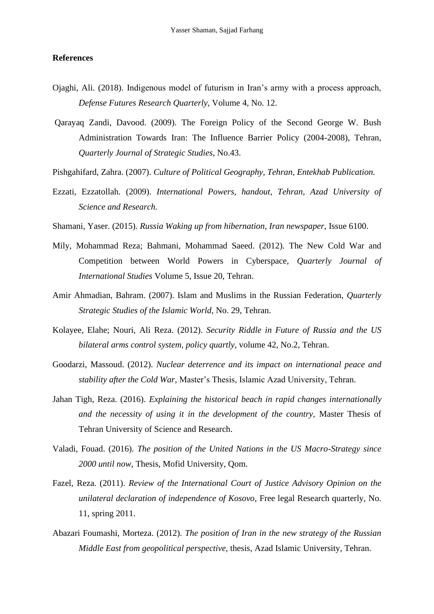### **References**

- Ojaghi, Ali. (2018). Indigenous model of futurism in Iran's army with a process approach, *Defense Futures Research Quarterly,* Volume 4, No. 12.
- Qarayaq Zandi, Davood. (2009). The Foreign Policy of the Second George W. Bush Administration Towards Iran: The Influence Barrier Policy (2004-2008), Tehran, *Quarterly Journal of Strategic Studies,* No.43.
- Pishgahifard, Zahra. (2007). *Culture of Political Geography, Tehran, Entekhab Publication.*
- Ezzati, Ezzatollah. (2009). *International Powers, handout, Tehran, Azad University of Science and Research.*
- Shamani, Yaser. (2015). *Russia Waking up from hibernation, Iran newspaper,* Issue 6100.
- Mily, Mohammad Reza; Bahmani, Mohammad Saeed. (2012). The New Cold War and Competition between World Powers in Cyberspace, *Quarterly Journal of International Studies* Volume 5, Issue 20, Tehran.
- Amir Ahmadian, Bahram. (2007). Islam and Muslims in the Russian Federation, *Quarterly Strategic Studies of the Islamic World,* No. 29, Tehran.
- Kolayee, Elahe; Nouri, Ali Reza. (2012). *Security Riddle in Future of Russia and the US bilateral arms control system, policy quartly,* volume 42, No.2, Tehran.
- Goodarzi, Massoud. (2012). *Nuclear deterrence and its impact on international peace and stability after the Cold War,* Master's Thesis, Islamic Azad University, Tehran.
- Jahan Tigh, Reza. (2016). *Explaining the historical beach in rapid changes internationally and the necessity of using it in the development of the country,* Master Thesis of Tehran University of Science and Research.
- Valadi, Fouad. (2016). *The position of the United Nations in the US Macro-Strategy since 2000 until now,* Thesis, Mofid University, Qom.
- Fazel, Reza. (2011). *Review of the International Court of Justice Advisory Opinion on the unilateral declaration of independence of Kosovo,* Free legal Research quarterly, No. 11, spring 2011.
- Abazari Foumashi, Morteza. (2012). *The position of Iran in the new strategy of the Russian Middle East from geopolitical perspective,* thesis, Azad Islamic University, Tehran.